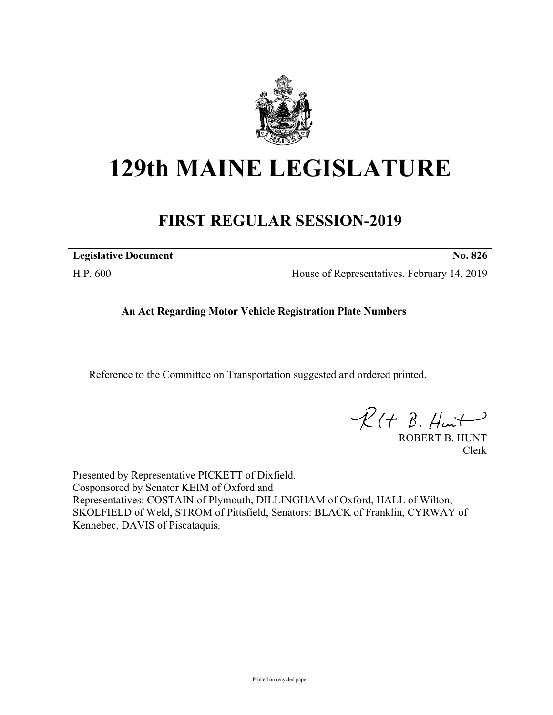

# **129th MAINE LEGISLATURE**

# **FIRST REGULAR SESSION-2019**

**Legislative Document No. 826**

H.P. 600 House of Representatives, February 14, 2019

## **An Act Regarding Motor Vehicle Registration Plate Numbers**

Reference to the Committee on Transportation suggested and ordered printed.

 $PR(H B. Hurt)$ 

ROBERT B. HUNT Clerk

Presented by Representative PICKETT of Dixfield. Cosponsored by Senator KEIM of Oxford and Representatives: COSTAIN of Plymouth, DILLINGHAM of Oxford, HALL of Wilton, SKOLFIELD of Weld, STROM of Pittsfield, Senators: BLACK of Franklin, CYRWAY of Kennebec, DAVIS of Piscataquis.